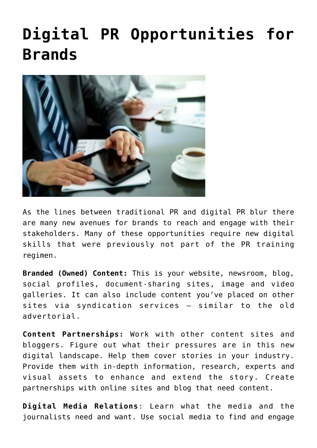## **[Digital PR Opportunities for](https://www.commpro.biz/digital-pr-opportunities-for-brands/) [Brands](https://www.commpro.biz/digital-pr-opportunities-for-brands/)**



As the lines between traditional PR and digital PR blur there are many new avenues for brands to reach and engage with their stakeholders. Many of these opportunities require new digital skills that were previously not part of the PR training regimen.

**Branded (Owned) Content:** This is your website, newsroom, blog, social profiles, document-sharing sites, image and video galleries. It can also include content you've placed on other sites via syndication services – similar to the old advertorial.

**Content Partnerships:** Work with other content sites and bloggers. Figure out what their pressures are in this new digital landscape. Help them cover stories in your industry. Provide them with in-depth information, research, experts and visual assets to enhance and extend the story. Create partnerships with online sites and blog that need content.

**Digital Media Relations**: Learn what the media and the journalists need and want. Use social media to find and engage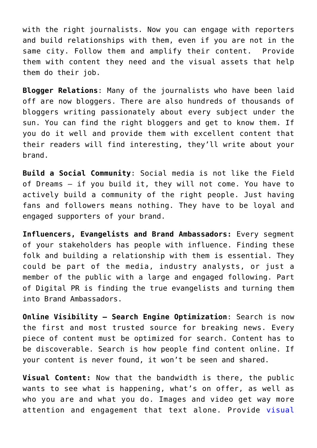with the right journalists. Now you can engage with reporters and build relationships with them, even if you are not in the same city. Follow them and amplify their content. Provide them with content they need and the visual assets that help them do their job.

**Blogger Relations**: Many of the journalists who have been laid off are now bloggers. There are also hundreds of thousands of bloggers writing passionately about every subject under the sun. You can find the right bloggers and get to know them. If you do it well and provide them with excellent content that their readers will find interesting, they'll write about your brand.

**Build a Social Community**: Social media is not like the Field of Dreams – if you build it, they will not come. You have to actively build a community of the right people. Just having fans and followers means nothing. They have to be loyal and engaged supporters of your brand.

**Influencers, Evangelists and Brand Ambassadors:** Every segment of your stakeholders has people with influence. Finding these folk and building a relationship with them is essential. They could be part of the media, industry analysts, or just a member of the public with a large and engaged following. Part of Digital PR is finding the true evangelists and turning them into Brand Ambassadors.

**Online Visibility – Search Engine Optimization**: Search is now the first and most trusted source for breaking news. Every piece of content must be optimized for search. Content has to be discoverable. Search is how people find content online. If your content is never found, it won't be seen and shared.

**Visual Content:** Now that the bandwidth is there, the public wants to see what is happening, what's on offer, as well as who you are and what you do. Images and video get way more attention and engagement that text alone. Provide [visual](https://www.meritusmedia.com/training/)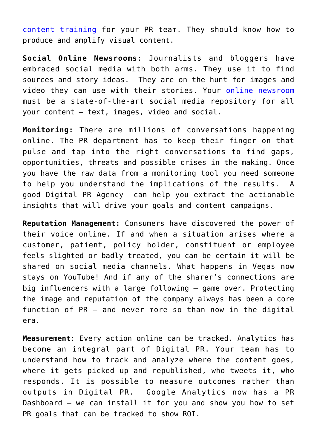[content training](https://www.meritusmedia.com/training/) for your PR team. They should know how to produce and amplify visual content.

**Social Online Newsrooms**: Journalists and bloggers have embraced social media with both arms. They use it to find sources and story ideas. They are on the hunt for images and video they can use with their stories. Your [online newsroom](https://www.press-feed.com/services) must be a state-of-the-art social media repository for all your content – text, images, video and social.

**Monitoring:** There are millions of conversations happening online. The PR department has to keep their finger on that pulse and tap into the right conversations to find gaps, opportunities, threats and possible crises in the making. Once you have the raw data from a monitoring tool you need someone to help you understand the implications of the results. A good Digital PR Agency can help you extract the actionable insights that will drive your goals and content campaigns.

**Reputation Management:** Consumers have discovered the power of their voice online. If and when a situation arises where a customer, patient, policy holder, constituent or employee feels slighted or badly treated, you can be certain it will be shared on social media channels. What happens in Vegas now stays on YouTube! And if any of the sharer's connections are big influencers with a large following – game over. Protecting the image and reputation of the company always has been a core function of PR – and never more so than now in the digital era.

**Measurement**: Every action online can be tracked. Analytics has become an integral part of Digital PR. Your team has to understand how to track and analyze where the content goes, where it gets picked up and republished, who tweets it, who responds. It is possible to measure outcomes rather than outputs in Digital PR. Google Analytics now has a PR Dashboard – we can install it for you and show you how to set PR goals that can be tracked to show ROI.